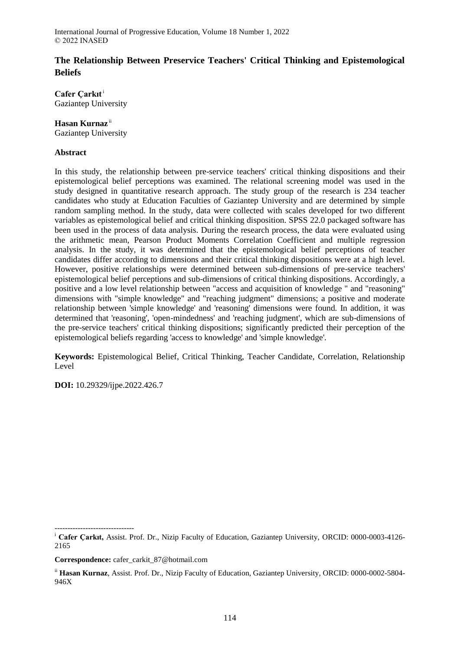# **The Relationship Between Preservice Teachers' Critical Thinking and Epistemological Beliefs**

**Cafer Çarkıt**<sup>i</sup> Gaziantep University

# **Hasan Kurnaz** ii

Gaziantep University

# **Abstract**

In this study, the relationship between pre-service teachers' critical thinking dispositions and their epistemological belief perceptions was examined. The relational screening model was used in the study designed in quantitative research approach. The study group of the research is 234 teacher candidates who study at Education Faculties of Gaziantep University and are determined by simple random sampling method. In the study, data were collected with scales developed for two different variables as epistemological belief and critical thinking disposition. SPSS 22.0 packaged software has been used in the process of data analysis. During the research process, the data were evaluated using the arithmetic mean, Pearson Product Moments Correlation Coefficient and multiple regression analysis. In the study, it was determined that the epistemological belief perceptions of teacher candidates differ according to dimensions and their critical thinking dispositions were at a high level. However, positive relationships were determined between sub-dimensions of pre-service teachers' epistemological belief perceptions and sub-dimensions of critical thinking dispositions. Accordingly, a positive and a low level relationship between "access and acquisition of knowledge " and "reasoning" dimensions with "simple knowledge" and "reaching judgment" dimensions; a positive and moderate relationship between 'simple knowledge' and 'reasoning' dimensions were found. In addition, it was determined that 'reasoning', 'open-mindedness' and 'reaching judgment', which are sub-dimensions of the pre-service teachers' critical thinking dispositions; significantly predicted their perception of the epistemological beliefs regarding 'access to knowledge' and 'simple knowledge'.

**Keywords:** Epistemological Belief, Critical Thinking, Teacher Candidate, Correlation, Relationship Level

**DOI:** 10.29329/ijpe.2022.426.7

<sup>------------------------------</sup> <sup>i</sup> **Cafer Çarkıt,** Assist. Prof. Dr., Nizip Faculty of Education, Gaziantep University, ORCID: 0000-0003-4126- 2165

**Correspondence:** cafer\_carkit\_87@hotmail.com

ii **Hasan Kurnaz**, Assist. Prof. Dr., Nizip Faculty of Education, Gaziantep University, ORCID: 0000-0002-5804- 946X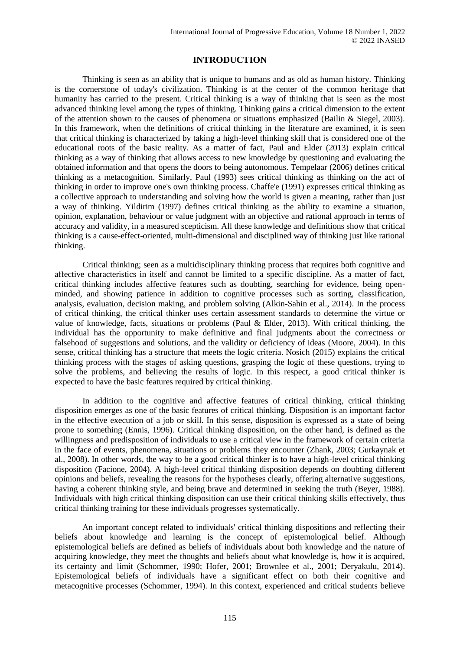# **INTRODUCTION**

Thinking is seen as an ability that is unique to humans and as old as human history. Thinking is the cornerstone of today's civilization. Thinking is at the center of the common heritage that humanity has carried to the present. Critical thinking is a way of thinking that is seen as the most advanced thinking level among the types of thinking. Thinking gains a critical dimension to the extent of the attention shown to the causes of phenomena or situations emphasized (Bailin & Siegel, 2003). In this framework, when the definitions of critical thinking in the literature are examined, it is seen that critical thinking is characterized by taking a high-level thinking skill that is considered one of the educational roots of the basic reality. As a matter of fact, Paul and Elder (2013) explain critical thinking as a way of thinking that allows access to new knowledge by questioning and evaluating the obtained information and that opens the doors to being autonomous. Tempelaar (2006) defines critical thinking as a metacognition. Similarly, Paul (1993) sees critical thinking as thinking on the act of thinking in order to improve one's own thinking process. Chaffe'e (1991) expresses critical thinking as a collective approach to understanding and solving how the world is given a meaning, rather than just a way of thinking. Yildirim (1997) defines critical thinking as the ability to examine a situation, opinion, explanation, behaviour or value judgment with an objective and rational approach in terms of accuracy and validity, in a measured scepticism. All these knowledge and definitions show that critical thinking is a cause-effect-oriented, multi-dimensional and disciplined way of thinking just like rational thinking.

Critical thinking; seen as a multidisciplinary thinking process that requires both cognitive and affective characteristics in itself and cannot be limited to a specific discipline. As a matter of fact, critical thinking includes affective features such as doubting, searching for evidence, being openminded, and showing patience in addition to cognitive processes such as sorting, classification, analysis, evaluation, decision making, and problem solving (Alkin-Sahin et al., 2014). In the process of critical thinking, the critical thinker uses certain assessment standards to determine the virtue or value of knowledge, facts, situations or problems (Paul & Elder, 2013). With critical thinking, the individual has the opportunity to make definitive and final judgments about the correctness or falsehood of suggestions and solutions, and the validity or deficiency of ideas (Moore, 2004). In this sense, critical thinking has a structure that meets the logic criteria. Nosich (2015) explains the critical thinking process with the stages of asking questions, grasping the logic of these questions, trying to solve the problems, and believing the results of logic. In this respect, a good critical thinker is expected to have the basic features required by critical thinking.

In addition to the cognitive and affective features of critical thinking, critical thinking disposition emerges as one of the basic features of critical thinking. Disposition is an important factor in the effective execution of a job or skill. In this sense, disposition is expressed as a state of being prone to something (Ennis, 1996). Critical thinking disposition, on the other hand, is defined as the willingness and predisposition of individuals to use a critical view in the framework of certain criteria in the face of events, phenomena, situations or problems they encounter (Zhank, 2003; Gurkaynak et al., 2008). In other words, the way to be a good critical thinker is to have a high-level critical thinking disposition (Facione, 2004). A high-level critical thinking disposition depends on doubting different opinions and beliefs, revealing the reasons for the hypotheses clearly, offering alternative suggestions, having a coherent thinking style, and being brave and determined in seeking the truth (Beyer, 1988). Individuals with high critical thinking disposition can use their critical thinking skills effectively, thus critical thinking training for these individuals progresses systematically.

An important concept related to individuals' critical thinking dispositions and reflecting their beliefs about knowledge and learning is the concept of epistemological belief. Although epistemological beliefs are defined as beliefs of individuals about both knowledge and the nature of acquiring knowledge, they meet the thoughts and beliefs about what knowledge is, how it is acquired, its certainty and limit (Schommer, 1990; Hofer, 2001; Brownlee et al., 2001; Deryakulu, 2014). Epistemological beliefs of individuals have a significant effect on both their cognitive and metacognitive processes (Schommer, 1994). In this context, experienced and critical students believe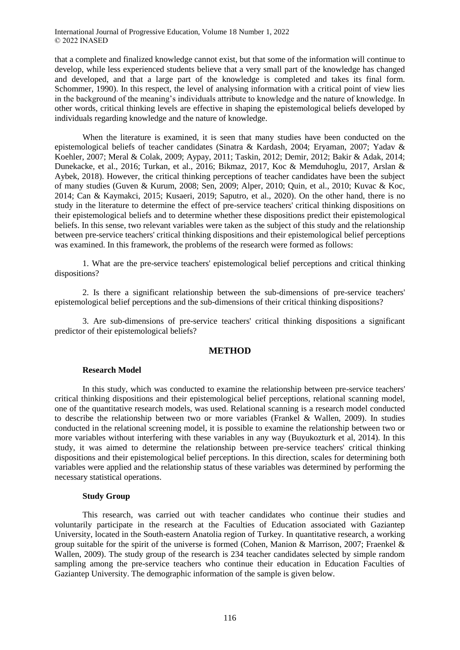that a complete and finalized knowledge cannot exist, but that some of the information will continue to develop, while less experienced students believe that a very small part of the knowledge has changed and developed, and that a large part of the knowledge is completed and takes its final form. Schommer, 1990). In this respect, the level of analysing information with a critical point of view lies in the background of the meaning's individuals attribute to knowledge and the nature of knowledge. In other words, critical thinking levels are effective in shaping the epistemological beliefs developed by individuals regarding knowledge and the nature of knowledge.

When the literature is examined, it is seen that many studies have been conducted on the epistemological beliefs of teacher candidates (Sinatra & Kardash, 2004; Eryaman, 2007; Yadav & Koehler, 2007; Meral & Colak, 2009; Aypay, 2011; Taskin, 2012; Demir, 2012; Bakir & Adak, 2014; Dunekacke, et al., 2016; Turkan, et al., 2016; Bikmaz, 2017, Koc & Memduhoglu, 2017, Arslan & Aybek, 2018). However, the critical thinking perceptions of teacher candidates have been the subject of many studies (Guven & Kurum, 2008; Sen, 2009; Alper, 2010; Quin, et al., 2010; Kuvac & Koc, 2014; Can & Kaymakci, 2015; Kusaeri, 2019; Saputro, et al., 2020). On the other hand, there is no study in the literature to determine the effect of pre-service teachers' critical thinking dispositions on their epistemological beliefs and to determine whether these dispositions predict their epistemological beliefs. In this sense, two relevant variables were taken as the subject of this study and the relationship between pre-service teachers' critical thinking dispositions and their epistemological belief perceptions was examined. In this framework, the problems of the research were formed as follows:

1. What are the pre-service teachers' epistemological belief perceptions and critical thinking dispositions?

2. Is there a significant relationship between the sub-dimensions of pre-service teachers' epistemological belief perceptions and the sub-dimensions of their critical thinking dispositions?

3. Are sub-dimensions of pre-service teachers' critical thinking dispositions a significant predictor of their epistemological beliefs?

## **METHOD**

#### **Research Model**

In this study, which was conducted to examine the relationship between pre-service teachers' critical thinking dispositions and their epistemological belief perceptions, relational scanning model, one of the quantitative research models, was used. Relational scanning is a research model conducted to describe the relationship between two or more variables (Frankel & Wallen, 2009). In studies conducted in the relational screening model, it is possible to examine the relationship between two or more variables without interfering with these variables in any way (Buyukozturk et al, 2014). In this study, it was aimed to determine the relationship between pre-service teachers' critical thinking dispositions and their epistemological belief perceptions. In this direction, scales for determining both variables were applied and the relationship status of these variables was determined by performing the necessary statistical operations.

#### **Study Group**

This research, was carried out with teacher candidates who continue their studies and voluntarily participate in the research at the Faculties of Education associated with Gaziantep University, located in the South-eastern Anatolia region of Turkey. In quantitative research, a working group suitable for the spirit of the universe is formed (Cohen, Manion & Marrison, 2007; Fraenkel & Wallen, 2009). The study group of the research is 234 teacher candidates selected by simple random sampling among the pre-service teachers who continue their education in Education Faculties of Gaziantep University. The demographic information of the sample is given below.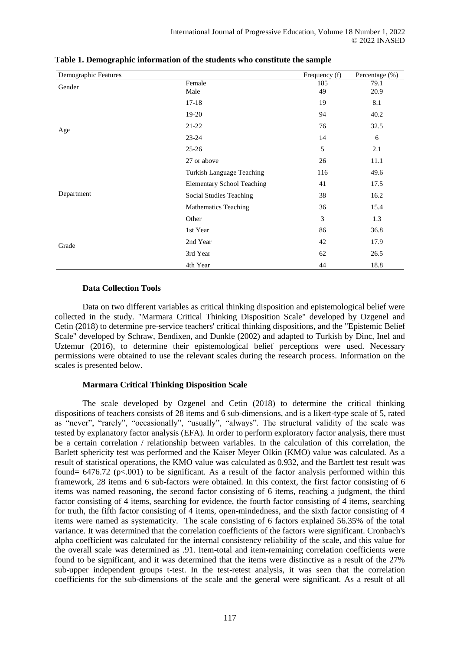| Demographic Features |                                   | Frequency (f) | Percentage (%) |
|----------------------|-----------------------------------|---------------|----------------|
| Gender               | Female                            | 185           | 79.1           |
|                      | Male                              | 49            | 20.9           |
|                      | $17-18$                           | 19            | 8.1            |
|                      | $19-20$                           | 94            | 40.2           |
| Age                  | 21-22                             | 76            | 32.5           |
|                      | $23 - 24$                         | 14            | 6              |
|                      | $25 - 26$                         | 5             | 2.1            |
|                      | 27 or above                       | 26            | 11.1           |
|                      | Turkish Language Teaching         | 116           | 49.6           |
|                      | <b>Elementary School Teaching</b> | 41            | 17.5           |
| Department           | Social Studies Teaching           | 38            | 16.2           |
|                      | <b>Mathematics Teaching</b>       | 36            | 15.4           |
|                      | Other                             | 3             | 1.3            |
|                      | 1st Year                          | 86            | 36.8           |
| Grade                | 2nd Year                          | 42            | 17.9           |
|                      | 3rd Year                          | 62            | 26.5           |
|                      | 4th Year                          | 44            | 18.8           |

**Table 1. Demographic information of the students who constitute the sample**

### **Data Collection Tools**

Data on two different variables as critical thinking disposition and epistemological belief were collected in the study. "Marmara Critical Thinking Disposition Scale" developed by Ozgenel and Cetin (2018) to determine pre-service teachers' critical thinking dispositions, and the "Epistemic Belief Scale" developed by Schraw, Bendixen, and Dunkle (2002) and adapted to Turkish by Dinc, Inel and Uztemur (2016), to determine their epistemological belief perceptions were used. Necessary permissions were obtained to use the relevant scales during the research process. Information on the scales is presented below.

## **Marmara Critical Thinking Disposition Scale**

The scale developed by Ozgenel and Cetin (2018) to determine the critical thinking dispositions of teachers consists of 28 items and 6 sub-dimensions, and is a likert-type scale of 5, rated as "never", "rarely", "occasionally", "usually", "always". The structural validity of the scale was tested by explanatory factor analysis (EFA). In order to perform exploratory factor analysis, there must be a certain correlation / relationship between variables. In the calculation of this correlation, the Barlett sphericity test was performed and the Kaiser Meyer Olkin (KMO) value was calculated. As a result of statistical operations, the KMO value was calculated as 0.932, and the Bartlett test result was found=  $6476.72$  (p<.001) to be significant. As a result of the factor analysis performed within this framework, 28 items and 6 sub-factors were obtained. In this context, the first factor consisting of 6 items was named reasoning, the second factor consisting of 6 items, reaching a judgment, the third factor consisting of 4 items, searching for evidence, the fourth factor consisting of 4 items, searching for truth, the fifth factor consisting of 4 items, open-mindedness, and the sixth factor consisting of 4 items were named as systematicity. The scale consisting of 6 factors explained 56.35% of the total variance. It was determined that the correlation coefficients of the factors were significant. Cronbach's alpha coefficient was calculated for the internal consistency reliability of the scale, and this value for the overall scale was determined as .91. Item-total and item-remaining correlation coefficients were found to be significant, and it was determined that the items were distinctive as a result of the 27% sub-upper independent groups t-test. In the test-retest analysis, it was seen that the correlation coefficients for the sub-dimensions of the scale and the general were significant. As a result of all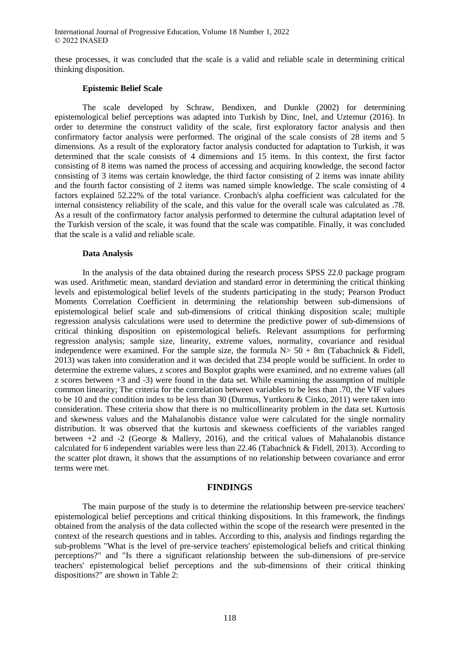these processes, it was concluded that the scale is a valid and reliable scale in determining critical thinking disposition.

### **Epistemic Belief Scale**

The scale developed by Schraw, Bendixen, and Dunkle (2002) for determining epistemological belief perceptions was adapted into Turkish by Dinc, Inel, and Uztemur (2016). In order to determine the construct validity of the scale, first exploratory factor analysis and then confirmatory factor analysis were performed. The original of the scale consists of 28 items and 5 dimensions. As a result of the exploratory factor analysis conducted for adaptation to Turkish, it was determined that the scale consists of 4 dimensions and 15 items. In this context, the first factor consisting of 8 items was named the process of accessing and acquiring knowledge, the second factor consisting of 3 items was certain knowledge, the third factor consisting of 2 items was innate ability and the fourth factor consisting of 2 items was named simple knowledge. The scale consisting of 4 factors explained 52.22% of the total variance. Cronbach's alpha coefficient was calculated for the internal consistency reliability of the scale, and this value for the overall scale was calculated as .78. As a result of the confirmatory factor analysis performed to determine the cultural adaptation level of the Turkish version of the scale, it was found that the scale was compatible. Finally, it was concluded that the scale is a valid and reliable scale.

#### **Data Analysis**

In the analysis of the data obtained during the research process SPSS 22.0 package program was used. Arithmetic mean, standard deviation and standard error in determining the critical thinking levels and epistemological belief levels of the students participating in the study; Pearson Product Moments Correlation Coefficient in determining the relationship between sub-dimensions of epistemological belief scale and sub-dimensions of critical thinking disposition scale; multiple regression analysis calculations were used to determine the predictive power of sub-dimensions of critical thinking disposition on epistemological beliefs. Relevant assumptions for performing regression analysis; sample size, linearity, extreme values, normality, covariance and residual independence were examined. For the sample size, the formula  $N > 50 + 8m$  (Tabachnick & Fidell, 2013) was taken into consideration and it was decided that 234 people would be sufficient. In order to determine the extreme values, z scores and Boxplot graphs were examined, and no extreme values (all z scores between +3 and -3) were found in the data set. While examining the assumption of multiple common linearity; The criteria for the correlation between variables to be less than .70, the VIF values to be 10 and the condition index to be less than 30 (Durmus, Yurtkoru & Cinko, 2011) were taken into consideration. These criteria show that there is no multicollinearity problem in the data set. Kurtosis and skewness values and the Mahalanobis distance value were calculated for the single normality distribution. It was observed that the kurtosis and skewness coefficients of the variables ranged between +2 and -2 (George & Mallery, 2016), and the critical values of Mahalanobis distance calculated for 6 independent variables were less than 22.46 (Tabachnick & Fidell, 2013). According to the scatter plot drawn, it shows that the assumptions of no relationship between covariance and error terms were met.

#### **FINDINGS**

The main purpose of the study is to determine the relationship between pre-service teachers' epistemological belief perceptions and critical thinking dispositions. In this framework, the findings obtained from the analysis of the data collected within the scope of the research were presented in the context of the research questions and in tables. According to this, analysis and findings regarding the sub-problems "What is the level of pre-service teachers' epistemological beliefs and critical thinking perceptions?" and "Is there a significant relationship between the sub-dimensions of pre-service teachers' epistemological belief perceptions and the sub-dimensions of their critical thinking dispositions?" are shown in Table 2: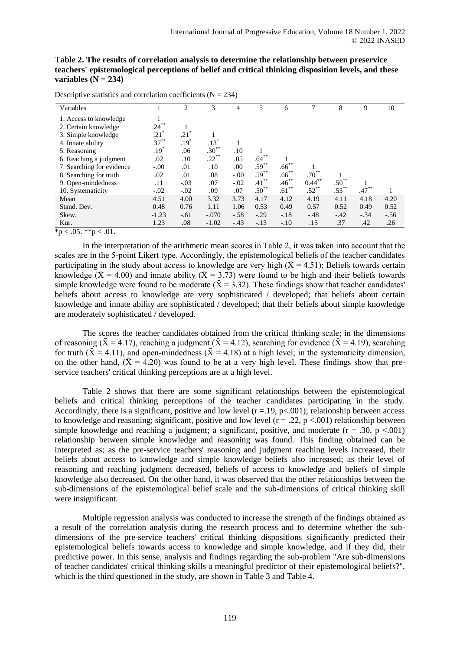| Table 2. The results of correlation analysis to determine the relationship between preservice       |
|-----------------------------------------------------------------------------------------------------|
| teachers' epistemological perceptions of belief and critical thinking disposition levels, and these |
| variables $(N = 234)$                                                                               |

| Variables                 |          | $\overline{c}$ | 3        | 4       | 5          | 6          | 7          | 8          | 9        | 10     |
|---------------------------|----------|----------------|----------|---------|------------|------------|------------|------------|----------|--------|
| 1. Access to knowledge    |          |                |          |         |            |            |            |            |          |        |
| 2. Certain knowledge      | $.24***$ |                |          |         |            |            |            |            |          |        |
| 3. Simple knowledge       | $.21*$   | $.21*$         |          |         |            |            |            |            |          |        |
| 4. Innate ability         | $.37***$ | $.19*$         | $.13*$   |         |            |            |            |            |          |        |
| 5. Reasoning              | $.19*$   | .06            | $.30***$ | .10     |            |            |            |            |          |        |
| 6. Reaching a judgment    | .02      | .10            | $.22***$ | .05     | $.64***$   |            |            |            |          |        |
| 7. Searching for evidence | $-.00$   | .01            | .10      | .00     | $.59***$   | $.66^{**}$ |            |            |          |        |
| 8. Searching for truth    | .02      | .01            | .08      | $-0.00$ | $.59***$   | $.66***$   | $.70^{**}$ |            |          |        |
| 9. Open-mindedness        | .11      | $-.03$         | .07      | $-.02$  | $.41***$   | $.46***$   | $0.44***$  | $.50^{**}$ |          |        |
| 10. Systematicity         | $-.02$   | $-.02$         | .09      | .07     | $.50^{**}$ | $.61***$   | $.52***$   | $.53***$   | $.47***$ |        |
| Mean                      | 4.51     | 4.00           | 3.32     | 3.73    | 4.17       | 4.12       | 4.19       | 4.11       | 4.18     | 4.20   |
| Stand. Dev.               | 0.48     | 0.76           | 1.11     | 1.06    | 0.53       | 0.49       | 0.57       | 0.52       | 0.49     | 0.52   |
| Skew.                     | $-1.23$  | $-.61$         | $-.070$  | $-.58$  | $-.29$     | $-.18$     | $-.48$     | $-.42$     | $-.34$   | $-.56$ |
| Kur.                      | 1.23     | .08            | $-1.02$  | $-43$   | $-.15$     | $-.10$     | .15        | .37        | .42      | .26    |

Descriptive statistics and correlation coefficients  $(N = 234)$ 

 $\overline{*}p < .05.$  \*\* $p < .01$ .

In the interpretation of the arithmetic mean scores in Table 2, it was taken into account that the scales are in the 5-point Likert type. Accordingly, the epistemological beliefs of the teacher candidates participating in the study about access to knowledge are very high ( $\bar{X}$  = 4.51); Beliefs towards certain knowledge  $(\bar{X} = 4.00)$  and innate ability  $(\bar{X} = 3.73)$  were found to be high and their beliefs towards simple knowledge were found to be moderate ( $\bar{X} = 3.32$ ). These findings show that teacher candidates' beliefs about access to knowledge are very sophisticated / developed; that beliefs about certain knowledge and innate ability are sophisticated / developed; that their beliefs about simple knowledge are moderately sophisticated / developed.

The scores the teacher candidates obtained from the critical thinking scale; in the dimensions of reasoning ( $\bar{X} = 4.17$ ), reaching a judgment ( $\bar{X} = 4.12$ ), searching for evidence ( $\bar{X} = 4.19$ ), searching for truth ( $\bar{X} = 4.11$ ), and open-mindedness ( $\bar{X} = 4.18$ ) at a high level; in the systematicity dimension, on the other hand,  $({\bar X} = 4.20)$  was found to be at a very high level. These findings show that preservice teachers' critical thinking perceptions are at a high level.

Table 2 shows that there are some significant relationships between the epistemological beliefs and critical thinking perceptions of the teacher candidates participating in the study. Accordingly, there is a significant, positive and low level  $(r = 19, p < 001)$ ; relationship between access to knowledge and reasoning; significant, positive and low level  $(r = .22, p < .001)$  relationship between simple knowledge and reaching a judgment; a significant, positive, and moderate  $(r = .30, p < .001)$ relationship between simple knowledge and reasoning was found. This finding obtained can be interpreted as; as the pre-service teachers' reasoning and judgment reaching levels increased, their beliefs about access to knowledge and simple knowledge beliefs also increased; as their level of reasoning and reaching judgment decreased, beliefs of access to knowledge and beliefs of simple knowledge also decreased. On the other hand, it was observed that the other relationships between the sub-dimensions of the epistemological belief scale and the sub-dimensions of critical thinking skill were insignificant.

Multiple regression analysis was conducted to increase the strength of the findings obtained as a result of the correlation analysis during the research process and to determine whether the subdimensions of the pre-service teachers' critical thinking dispositions significantly predicted their epistemological beliefs towards access to knowledge and simple knowledge, and if they did, their predictive power. In this sense, analysis and findings regarding the sub-problem "Are sub-dimensions of teacher candidates' critical thinking skills a meaningful predictor of their epistemological beliefs?", which is the third questioned in the study, are shown in Table 3 and Table 4.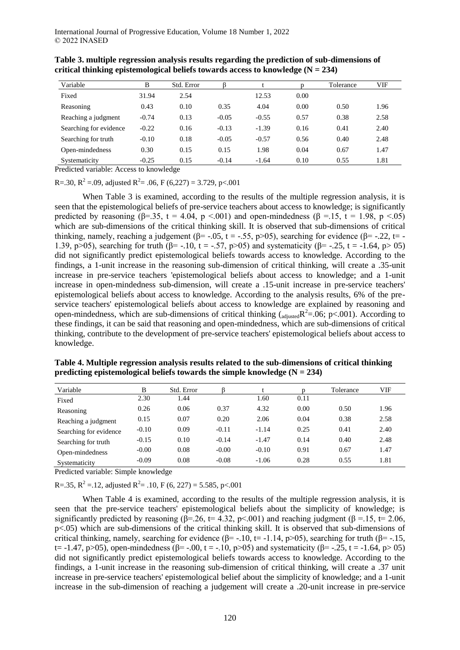| Variable               | B       | Std. Error |         |         |      | Tolerance | VIF  |
|------------------------|---------|------------|---------|---------|------|-----------|------|
| Fixed                  | 31.94   | 2.54       |         | 12.53   | 0.00 |           |      |
| Reasoning              | 0.43    | 0.10       | 0.35    | 4.04    | 0.00 | 0.50      | 1.96 |
| Reaching a judgment    | $-0.74$ | 0.13       | $-0.05$ | $-0.55$ | 0.57 | 0.38      | 2.58 |
| Searching for evidence | $-0.22$ | 0.16       | $-0.13$ | $-1.39$ | 0.16 | 0.41      | 2.40 |
| Searching for truth    | $-0.10$ | 0.18       | $-0.05$ | $-0.57$ | 0.56 | 0.40      | 2.48 |
| Open-mindedness        | 0.30    | 0.15       | 0.15    | 1.98    | 0.04 | 0.67      | 1.47 |
| Systematicity          | $-0.25$ | 0.15       | $-0.14$ | $-1.64$ | 0.10 | 0.55      | 1.81 |

**Table 3. multiple regression analysis results regarding the prediction of sub-dimensions of**  critical thinking epistemological beliefs towards access to knowledge  $(N = 234)$ 

Predicted variable: Access to knowledge

R=.30, R<sup>2</sup> = .09, adjusted R<sup>2</sup> = .06, F (6,227) = 3.729, p<.001

When Table 3 is examined, according to the results of the multiple regression analysis, it is seen that the epistemological beliefs of pre-service teachers about access to knowledge; is significantly predicted by reasoning ( $\beta$ =.35, t = 4.04, p <.001) and open-mindedness ( $\beta$  =.15, t = 1.98, p <.05) which are sub-dimensions of the critical thinking skill. It is observed that sub-dimensions of critical thinking, namely, reaching a judgement ( $\beta$ = -.05, t = -.55, p>05), searching for evidence ( $\beta$ = -.22, t= -1.39, p>05), searching for truth (β= -.10, t = -.57, p>05) and systematicity (β= -.25, t = -1.64, p> 05) did not significantly predict epistemological beliefs towards access to knowledge. According to the findings, a 1-unit increase in the reasoning sub-dimension of critical thinking, will create a .35-unit increase in pre-service teachers 'epistemological beliefs about access to knowledge; and a 1-unit increase in open-mindedness sub-dimension, will create a .15-unit increase in pre-service teachers' epistemological beliefs about access to knowledge. According to the analysis results, 6% of the preservice teachers' epistemological beliefs about access to knowledge are explained by reasoning and open-mindedness, which are sub-dimensions of critical thinking  $\left( \frac{1}{\text{adjusted}} R^2 = 0.06; \frac{1}{R} \right)$ . According to these findings, it can be said that reasoning and open-mindedness, which are sub-dimensions of critical thinking, contribute to the development of pre-service teachers' epistemological beliefs about access to knowledge.

| Variable               | B       | Std. Error |         |         |      | Tolerance | VIF  |
|------------------------|---------|------------|---------|---------|------|-----------|------|
| Fixed                  | 2.30    | .44        |         | 1.60    | 0.11 |           |      |
| Reasoning              | 0.26    | 0.06       | 0.37    | 4.32    | 0.00 | 0.50      | 1.96 |
| Reaching a judgment    | 0.15    | 0.07       | 0.20    | 2.06    | 0.04 | 0.38      | 2.58 |
| Searching for evidence | $-0.10$ | 0.09       | $-0.11$ | $-1.14$ | 0.25 | 0.41      | 2.40 |
| Searching for truth    | $-0.15$ | 0.10       | $-0.14$ | $-1.47$ | 0.14 | 0.40      | 2.48 |
| Open-mindedness        | $-0.00$ | 0.08       | $-0.00$ | $-0.10$ | 0.91 | 0.67      | 1.47 |
| Systematicity          | $-0.09$ | 0.08       | $-0.08$ | $-1.06$ | 0.28 | 0.55      | 1.81 |

**Table 4. Multiple regression analysis results related to the sub-dimensions of critical thinking predicting epistemological beliefs towards the simple knowledge**  $(N = 234)$ 

Predicted variable: Simple knowledge

R=.35, R<sup>2</sup> = .12, adjusted R<sup>2</sup> = .10, F (6, 227) = 5.585, p<.001

When Table 4 is examined, according to the results of the multiple regression analysis, it is seen that the pre-service teachers' epistemological beliefs about the simplicity of knowledge; is significantly predicted by reasoning ( $\beta$ =.26, t= 4.32, p<.001) and reaching judgment ( $\beta$  =.15, t= 2.06, p<.05) which are sub-dimensions of the critical thinking skill. It is observed that sub-dimensions of critical thinking, namely, searching for evidence ( $\beta$ = -.10, t= -1.14, p>05), searching for truth ( $\beta$ = -.15, t= -1.47, p>05), open-mindedness ( $\beta$ = -.00, t = -.10, p>05) and systematicity ( $\beta$ = -.25, t = -1.64, p> 05) did not significantly predict epistemological beliefs towards access to knowledge. According to the findings, a 1-unit increase in the reasoning sub-dimension of critical thinking, will create a .37 unit increase in pre-service teachers' epistemological belief about the simplicity of knowledge; and a 1-unit increase in the sub-dimension of reaching a judgement will create a .20-unit increase in pre-service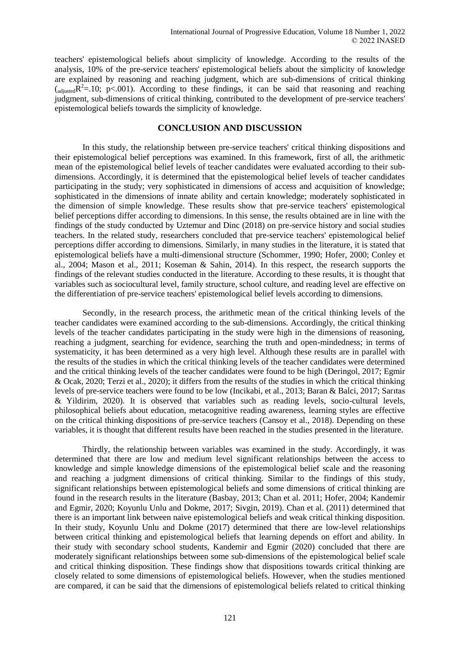teachers' epistemological beliefs about simplicity of knowledge. According to the results of the analysis, 10% of the pre-service teachers' epistemological beliefs about the simplicity of knowledge are explained by reasoning and reaching judgment, which are sub-dimensions of critical thinking  $\left( \frac{1}{\text{adjusted}} R^2 = 10; \text{ p} < 0.001 \right)$ . According to these findings, it can be said that reasoning and reaching judgment, sub-dimensions of critical thinking, contributed to the development of pre-service teachers' epistemological beliefs towards the simplicity of knowledge.

## **CONCLUSION AND DISCUSSION**

In this study, the relationship between pre-service teachers' critical thinking dispositions and their epistemological belief perceptions was examined. In this framework, first of all, the arithmetic mean of the epistemological belief levels of teacher candidates were evaluated according to their subdimensions. Accordingly, it is determined that the epistemological belief levels of teacher candidates participating in the study; very sophisticated in dimensions of access and acquisition of knowledge; sophisticated in the dimensions of innate ability and certain knowledge; moderately sophisticated in the dimension of simple knowledge. These results show that pre-service teachers' epistemological belief perceptions differ according to dimensions. In this sense, the results obtained are in line with the findings of the study conducted by Uztemur and Dinc (2018) on pre-service history and social studies teachers. In the related study, researchers concluded that pre-service teachers' epistemological belief perceptions differ according to dimensions. Similarly, in many studies in the literature, it is stated that epistemological beliefs have a multi-dimensional structure (Schommer, 1990; Hofer, 2000; Conley et al., 2004; Mason et al., 2011; Koseman & Sahin, 2014). In this respect, the research supports the findings of the relevant studies conducted in the literature. According to these results, it is thought that variables such as sociocultural level, family structure, school culture, and reading level are effective on the differentiation of pre-service teachers' epistemological belief levels according to dimensions.

Secondly, in the research process, the arithmetic mean of the critical thinking levels of the teacher candidates were examined according to the sub-dimensions. Accordingly, the critical thinking levels of the teacher candidates participating in the study were high in the dimensions of reasoning, reaching a judgment, searching for evidence, searching the truth and open-mindedness; in terms of systematicity, it has been determined as a very high level. Although these results are in parallel with the results of the studies in which the critical thinking levels of the teacher candidates were determined and the critical thinking levels of the teacher candidates were found to be high (Deringol, 2017; Egmir & Ocak, 2020; Terzi et al., 2020); it differs from the results of the studies in which the critical thinking levels of pre-service teachers were found to be low (Incikabi, et al., 2013; Baran & Balci, 2017; Sarıtas & Yildirim, 2020). It is observed that variables such as reading levels, socio-cultural levels, philosophical beliefs about education, metacognitive reading awareness, learning styles are effective on the critical thinking dispositions of pre-service teachers (Cansoy et al., 2018). Depending on these variables, it is thought that different results have been reached in the studies presented in the literature.

Thirdly, the relationship between variables was examined in the study. Accordingly, it was determined that there are low and medium level significant relationships between the access to knowledge and simple knowledge dimensions of the epistemological belief scale and the reasoning and reaching a judgment dimensions of critical thinking. Similar to the findings of this study, significant relationships between epistemological beliefs and some dimensions of critical thinking are found in the research results in the literature (Basbay, 2013; Chan et al. 2011; Hofer, 2004; Kandemir and Egmir, 2020; Koyunlu Unlu and Dokme, 2017; Sivgin, 2019). Chan et al. (2011) determined that there is an important link between naive epistemological beliefs and weak critical thinking disposition. In their study, Koyunlu Unlu and Dokme (2017) determined that there are low-level relationships between critical thinking and epistemological beliefs that learning depends on effort and ability. In their study with secondary school students, Kandemir and Egmir (2020) concluded that there are moderately significant relationships between some sub-dimensions of the epistemological belief scale and critical thinking disposition. These findings show that dispositions towards critical thinking are closely related to some dimensions of epistemological beliefs. However, when the studies mentioned are compared, it can be said that the dimensions of epistemological beliefs related to critical thinking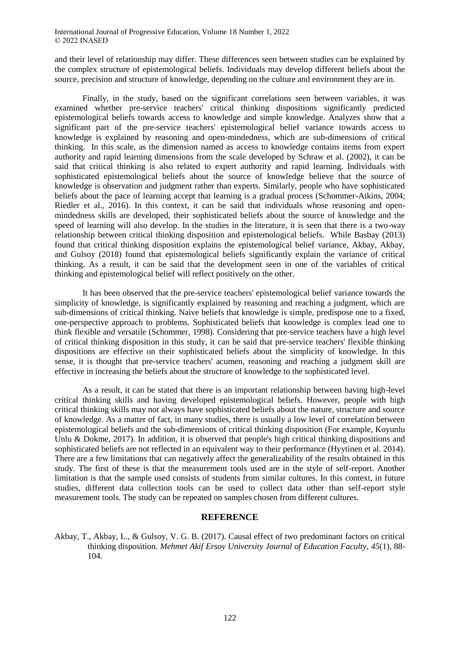and their level of relationship may differ. These differences seen between studies can be explained by the complex structure of epistemological beliefs. Individuals may develop different beliefs about the source, precision and structure of knowledge, depending on the culture and environment they are in.

Finally, in the study, based on the significant correlations seen between variables, it was examined whether pre-service teachers' critical thinking dispositions significantly predicted epistemological beliefs towards access to knowledge and simple knowledge. Analyzes show that a significant part of the pre-service teachers' epistemological belief variance towards access to knowledge is explained by reasoning and open-mindedness, which are sub-dimensions of critical thinking. In this scale, as the dimension named as access to knowledge contains items from expert authority and rapid learning dimensions from the scale developed by Schraw et al. (2002), it can be said that critical thinking is also related to expert authority and rapid learning. Individuals with sophisticated epistemological beliefs about the source of knowledge believe that the source of knowledge is observation and judgment rather than experts. Similarly, people who have sophisticated beliefs about the pace of learning accept that learning is a gradual process (Schommer-Aikins, 2004; Riedler et al., 2016). In this context, it can be said that individuals whose reasoning and openmindedness skills are developed, their sophisticated beliefs about the source of knowledge and the speed of learning will also develop. In the studies in the literature, it is seen that there is a two-way relationship between critical thinking disposition and epistemological beliefs. While Basbay (2013) found that critical thinking disposition explains the epistemological belief variance, Akbay, Akbay, and Gulsoy (2018) found that epistemological beliefs significantly explain the variance of critical thinking. As a result, it can be said that the development seen in one of the variables of critical thinking and epistemological belief will reflect positively on the other.

It has been observed that the pre-service teachers' epistemological belief variance towards the simplicity of knowledge, is significantly explained by reasoning and reaching a judgment, which are sub-dimensions of critical thinking. Naive beliefs that knowledge is simple, predispose one to a fixed, one-perspective approach to problems. Sophisticated beliefs that knowledge is complex lead one to think flexible and versatile (Schommer, 1998). Considering that pre-service teachers have a high level of critical thinking disposition in this study, it can be said that pre-service teachers' flexible thinking dispositions are effective on their sophisticated beliefs about the simplicity of knowledge. In this sense, it is thought that pre-service teachers' acumen, reasoning and reaching a judgment skill are effective in increasing the beliefs about the structure of knowledge to the sophisticated level.

As a result, it can be stated that there is an important relationship between having high-level critical thinking skills and having developed epistemological beliefs. However, people with high critical thinking skills may not always have sophisticated beliefs about the nature, structure and source of knowledge. As a matter of fact, in many studies, there is usually a low level of correlation between epistemological beliefs and the sub-dimensions of critical thinking disposition (For example, Koyunlu Unlu & Dokme, 2017). In addition, it is observed that people's high critical thinking dispositions and sophisticated beliefs are not reflected in an equivalent way to their performance (Hyytinen et al. 2014). There are a few limitations that can negatively affect the generalizability of the results obtained in this study. The first of these is that the measurement tools used are in the style of self-report. Another limitation is that the sample used consists of students from similar cultures. In this context, in future studies, different data collection tools can be used to collect data other than self-report style measurement tools. The study can be repeated on samples chosen from different cultures.

## **REFERENCE**

Akbay, T., Akbay, L., & Gulsoy, V. G. B. (2017). Causal effect of two predominant factors on critical thinking disposition. *Mehmet Akif Ersoy University Journal of Education Faculty*, *45*(1), 88- 104.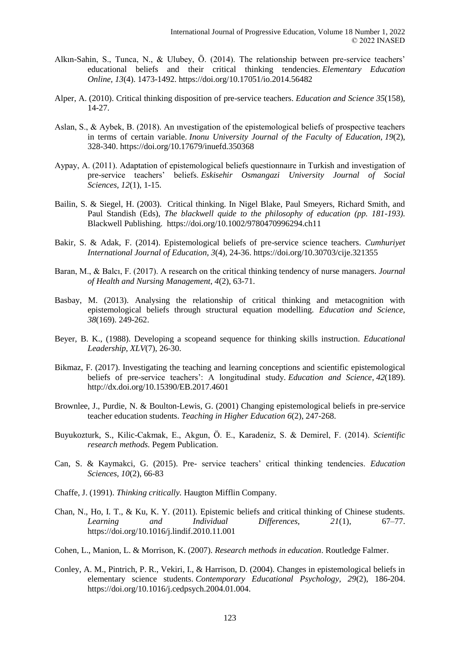- Alkın-Sahin, S., Tunca, N., & Ulubey, Ö. (2014). The relationship between pre-service teachers' educational beliefs and their critical thinking tendencies. *Elementary Education Online, 13*(4). 1473-1492. https://doi.org/10.17051/io.2014.56482
- Alper, A. (2010). Critical thinking disposition of pre-service teachers. *Education and Science 35*(158), 14-27.
- Aslan, S., & Aybek, B. (2018). An ınvestigation of the epistemological beliefs of prospective teachers in terms of certain variable. *Inonu University Journal of the Faculty of Education, 19*(2), 328-340. https://doi.org/10.17679/inuefd.350368
- Aypay, A. (2011). Adaptation of epistemological beliefs questionnaıre in Turkish and investigation of pre-service teachers' beliefs. *Eskisehir Osmangazi University Journal of Social Sciences, 12*(1), 1-15.
- Bailin, S. & Siegel, H. (2003). Critical thinking. In Nigel Blake, Paul Smeyers, Richard Smith, and Paul Standish (Eds), *The blackwell quide to the philosophy of education (pp. 181-193).* Blackwell Publishing. https://doi.org/10.1002/9780470996294.ch11
- Bakir, S. & Adak, F. (2014). Epistemological beliefs of pre-service science teachers. *Cumhuriyet International Journal of Education, 3*(4), 24-36. https://doi.org/10.30703/cije.321355
- Baran, M., & Balcı, F. (2017). A research on the critical thinking tendency of nurse managers. *Journal of Health and Nursing Management*, *4*(2), 63-71.
- Basbay, M. (2013). Analysing the relationship of critical thinking and metacognition with epistemological beliefs through structural equation modelling. *Education and Science, 38*(169). 249-262.
- Beyer, B. K., (1988). Developing a scopeand sequence for thinking skills instruction*. Educational Leadership, XLV*(7), 26-30.
- Bikmaz, F. (2017). Investigating the teaching and learning conceptions and scientific epistemological beliefs of pre-service teachers': A longitudinal study*. Education and Science, 42*(189). http://dx.doi.org/10.15390/EB.2017.4601
- Brownlee, J., Purdie, N. & Boulton-Lewis, G. (2001) Changing epistemological beliefs in pre-service teacher education students. *Teaching in Higher Education 6*(2), 247-268.
- Buyukozturk, S., Kilic-Cakmak, E., Akgun, Ö. E., Karadeniz, S. & Demirel, F. (2014). *Scientific research methods.* Pegem Publication.
- Can, S. & Kaymakci, G. (2015). Pre- service teachers' critical thinking tendencies. *Education Sciences, 10*(2), 66-83
- Chaffe, J. (1991). *Thinking critically.* Haugton Mifflin Company.
- Chan, N., Ho, I. T., & Ku, K. Y. (2011). Epistemic beliefs and critical thinking of Chinese students. *Learning and Individual Differences, 21*(1), 67–77. https://doi.org/10.1016/j.lindif.2010.11.001
- Cohen, L., Manion, L. & Morrison, K. (2007). *Research methods in education*. Routledge Falmer.
- Conley, A. M., Pintrich, P. R., Vekiri, I., & Harrison, D. (2004). Changes in epistemological beliefs in elementary science students. *Contemporary Educational Psychology, 29*(2), 186-204. https://doi.org/10.1016/j.cedpsych.2004.01.004.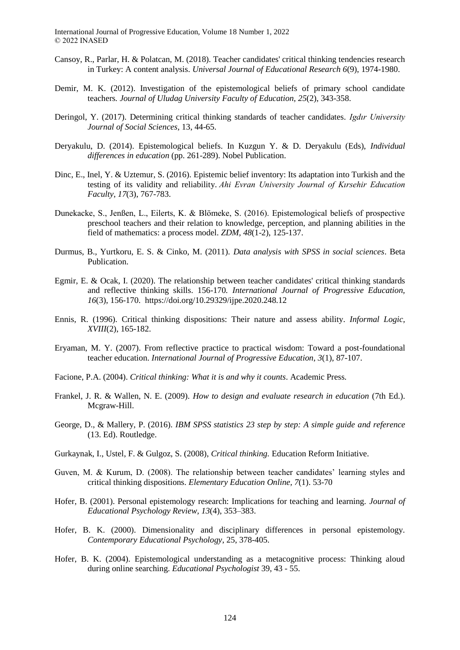- Cansoy, R., Parlar, H. & Polatcan, M. (2018). Teacher candidates' critical thinking tendencies research in Turkey: A content analysis. *Universal Journal of Educational Research 6*(9), 1974-1980.
- Demir, M. K. (2012). Investigation of the epistemological beliefs of primary school candidate teachers*. Journal of Uludag University Faculty of Education, 25*(2), 343-358.
- Deringol, Y. (2017). Determining critical thinking standards of teacher candidates. *Igdır University Journal of Social Sciences,* 13, 44-65.
- Deryakulu, D. (2014). Epistemological beliefs. In Kuzgun Y. & D. Deryakulu (Eds), *Individual differences in education* (pp. 261-289). Nobel Publication.
- Dinc, E., Inel, Y. & Uztemur, S. (2016). Epistemic belief inventory: Its adaptation into Turkish and the testing of its validity and reliability. *Ahi Evran University Journal of Kırsehir Education Faculty*, *17*(3), 767-783.
- Dunekacke, S., Jenßen, L., Eilerts, K. & Blömeke, S. (2016). Epistemological beliefs of prospective preschool teachers and their relation to knowledge, perception, and planning abilities in the field of mathematics: a process model. *ZDM, 48*(1-2), 125-137.
- Durmus, B., Yurtkoru, E. S. & Cinko, M. (2011). *Data analysis with SPSS in social sciences*. Beta Publication.
- Egmir, E. & Ocak, I. (2020). The relationship between teacher candidates' critical thinking standards and reflective thinking skills. 156-170*. International Journal of Progressive Education, 16*(3), 156-170. https://doi.org/10.29329/ijpe.2020.248.12
- Ennis, R. (1996). Critical thinking dispositions: Their nature and assess ability. *Informal Logic, XVIII*(2), 165-182.
- Eryaman, M. Y. (2007). From reflective practice to practical wisdom: Toward a post-foundational teacher education. *International Journal of Progressive Education*, *3*(1), 87-107.
- Facione, P.A. (2004). *Critical thinking: What it is and why it counts*. Academic Press.
- Frankel, J. R. & Wallen, N. E. (2009). *How to design and evaluate research in education* (7th Ed.). Mcgraw-Hill.
- George, D., & Mallery, P. (2016). *IBM SPSS statistics 23 step by step: A simple guide and reference*  (13. Ed). Routledge.
- Gurkaynak, I., Ustel, F. & Gulgoz, S. (2008), *Critical thinking.* Education Reform Initiative.
- Guven, M. & Kurum, D. (2008). The relationship between teacher candidates' learning styles and critical thinking dispositions. *Elementary Education Online, 7*(1). 53-70
- Hofer, B. (2001). Personal epistemology research: Implications for teaching and learning. *Journal of Educational Psychology Review, 13*(4), 353–383.
- Hofer, B. K. (2000). Dimensionality and disciplinary differences in personal epistemology. *Contemporary Educational Psychology*, 25, 378-405.
- Hofer, B. K. (2004). Epistemological understanding as a metacognitive process: Thinking aloud during online searching. *Educational Psychologist* 39, 43 - 55.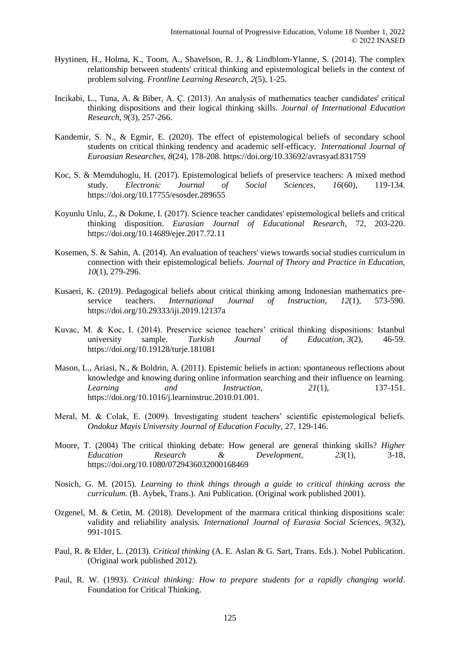- Hyytinen, H., Holma, K., Toom, A., Shavelson, R. J., & Lindblom-Ylanne, S. (2014). The complex relationship between students' critical thinking and epistemological beliefs in the context of problem solving. *Frontline Learning Research*, *2*(5), 1-25.
- Incikabi, L., Tuna, A. & Biber, A. Ç. (2013). An analysis of mathematics teacher candidates' critical thinking dispositions and their logical thinking skills. *Journal of International Education Research, 9*(3), 257-266.
- Kandemir, S. N., & Egmir, E. (2020). The effect of epistemological beliefs of secondary school students on critical thinking tendency and academic self-efficacy. *International Journal of Euroasian Researches, 8*(24), 178-208. https://doi.org/10.33692/avrasyad.831759
- Koc, S. & Memduhoglu, H. (2017). Epistemological beliefs of preservice teachers: A mixed method study. *Electronic Journal of Social Sciences, 16*(60), 119-134. https://doi.org/10.17755/esosder.289655
- Koyunlu Unlu, Z., & Dokme, I. (2017). Science teacher candidates' epistemological beliefs and critical thinking disposition. *Eurasian Journal of Educational Research,* 72, 203-220. https://doi.org/10.14689/ejer.2017.72.11
- Kosemen, S. & Sahin, A. (2014). An evaluation of teachers' views towards social studies curriculum in connection with their epistemological beliefs. *Journal of Theory and Practice in Education, 10*(1), 279-296.
- Kusaeri, K. (2019). Pedagogical beliefs about critical thinking among Indonesian mathematics preservice teachers. *International Journal of Instruction, 12*(1), 573-590. https://doi.org/10.29333/iji.2019.12137a
- Kuvac, M. & Koc, I. (2014). Preservice science teachers' critical thinking dispositions: Istanbul university sample. *Turkish Journal of Education, 3*(2), 46-59. https://doi.org/10.19128/turje.181081
- Mason, L., Ariasi, N., & Boldrin, A. (2011). Epistemic beliefs in action: spontaneous reflections about knowledge and knowing during online information searching and their influence on learning. *Learning and Instruction, 21*(1), 137-151. https://doi.org/10.1016/j.learninstruc.2010.01.001.
- Meral, M. & Colak, E. (2009). Investigating student teachers' scientific epistemological beliefs. *Ondokuz Mayis University Journal of Education Faculty,* 27, 129-146.
- Moore, T. (2004) The critical thinking debate: How general are general thinking skills? *Higher Education Research & Development, 23*(1), 3-18, https://doi.org/10.1080/0729436032000168469
- Nosich, G. M. (2015). *Learning to think things through a guide to critical thinking across the curriculum.* (B. Aybek, Trans.). Ani Publication. (Original work published 2001).
- Ozgenel, M. & Cetin, M. (2018). Development of the marmara critical thinking dispositions scale: validity and reliability analysis. *International Journal of Eurasia Social Sciences, 9*(32), 991-1015.
- Paul, R. & Elder, L. (2013). *Critical thinking* (A. E. Aslan & G. Sart, Trans. Eds.). Nobel Publication. (Original work published 2012).
- Paul, R. W. (1993). *Critical thinking: How to prepare students for a rapidly changing world*. Foundation for Critical Thinking.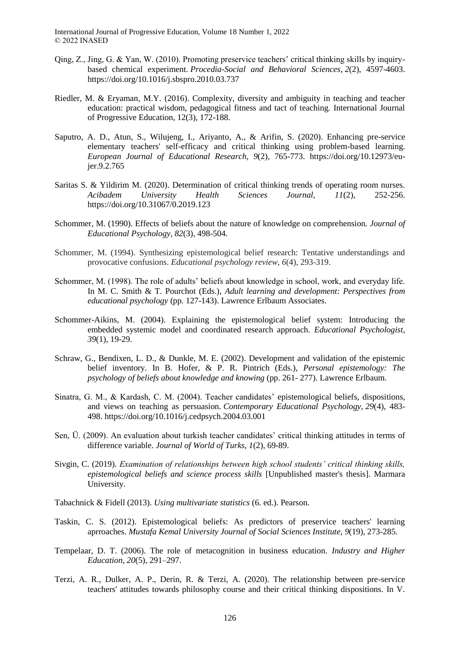- Qing, Z., Jing, G. & Yan, W. (2010). Promoting preservice teachers' critical thinking skills by inquirybased chemical experiment. *Procedia-Social and Behavioral Sciences, 2*(2), 4597-4603. https://doi.org/10.1016/j.sbspro.2010.03.737
- Riedler, M. & Eryaman, M.Y. (2016). Complexity, diversity and ambiguity in teaching and teacher education: practical wisdom, pedagogical fitness and tact of teaching. International Journal of Progressive Education, 12(3), 172-188.
- Saputro, A. D., Atun, S., Wilujeng, I., Ariyanto, A., & Arifin, S. (2020). Enhancing pre-service elementary teachers' self-efficacy and critical thinking using problem-based learning. *European Journal of Educational Research, 9*(2), 765-773. https://doi.org/10.12973/eujer.9.2.765
- Saritas S. & Yildirim M. (2020). Determination of critical thinking trends of operating room nurses. *Acibadem University Health Sciences Journal, 11*(2), 252-256. https://doi.org/10.31067/0.2019.123
- Schommer, M. (1990). Effects of beliefs about the nature of knowledge on comprehension*. Journal of Educational Psychology, 82*(3), 498-504.
- Schommer, M. (1994). Synthesizing epistemological belief research: Tentative understandings and provocative confusions. *Educational psychology review*, *6*(4), 293-319.
- Schommer, M. (1998). The role of adults' beliefs about knowledge in school, work, and everyday life. In M. C. Smith & T. Pourchot (Eds.), *Adult learning and development: Perspectives from educational psychology* (pp. 127-143). Lawrence Erlbaum Associates.
- Schommer-Aikins, M. (2004). Explaining the epistemological belief system: Introducing the embedded systemic model and coordinated research approach. *Educational Psychologist, 39*(1), 19-29.
- Schraw, G., Bendixen, L. D., & Dunkle, M. E. (2002). Development and validation of the epistemic belief inventory. In B. Hofer, & P. R. Pintrich (Eds.), *Personal epistemology: The psychology of beliefs about knowledge and knowing* (pp. 261- 277). Lawrence Erlbaum.
- Sinatra, G. M., & Kardash, C. M. (2004). Teacher candidates' epistemological beliefs, dispositions, and views on teaching as persuasion. *Contemporary Educational Psychology, 29*(4), 483- 498. https://doi.org/10.1016/j.cedpsych.2004.03.001
- Sen, Ü. (2009). An evaluation about turkish teacher candidates' critical thinking attitudes in terms of difference variable. *Journal of World of Turks, 1*(2), 69-89.
- Sivgin, C. (2019). *Examination of relationships between high school students' critical thinking skills, epistemological beliefs and science process skills* [Unpublished master's thesis]. Marmara University.

Tabachnick & Fidell (2013). *Using multivariate statistics* (6. ed.). Pearson.

- Taskin, C. S. (2012). Epistemological beliefs: As predictors of preservice teachers' learning aprroaches. *Mustafa Kemal University Journal of Social Sciences Institute, 9*(19), 273-285.
- Tempelaar, D. T. (2006). The role of metacognition in business education. *Industry and Higher Education, 20*(5), 291–297.
- Terzi, A. R., Dulker, A. P., Derin, R. & Terzi, A. (2020). The relationship between pre-service teachers' attitudes towards philosophy course and their critical thinking dispositions. In V.